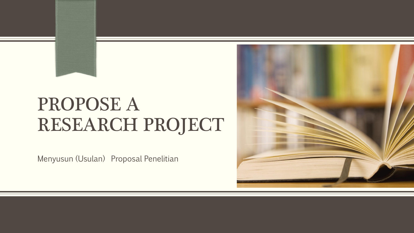# PROPOSE A RESEARCH PROJECT

Menyusun (Usulan) Proposal Penelitian

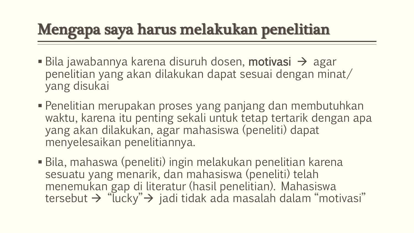# Mengapa saya harus melakukan penelitian

- Bila jawabannya karena disuruh dosen, **motivasi**  $\rightarrow$  agar penelitian yang akan dilakukan dapat sesuai dengan minat/ yang disukai
- Penelitian merupakan proses yang panjang dan membutuhkan waktu, karena itu penting sekali untuk tetap tertarik dengan apa yang akan dilakukan, agar mahasiswa (peneliti) dapat menyelesaikan penelitiannya.
- Bila, mahaswa (peneliti) ingin melakukan penelitian karena sesuatu yang menarik, dan mahasiswa (peneliti) telah menemukan gap di literatur (hasil penelitian). Mahasiswa tersebut  $\rightarrow$  "lucky" $\rightarrow$  jadi tidak ada masalah dalam "motivasi"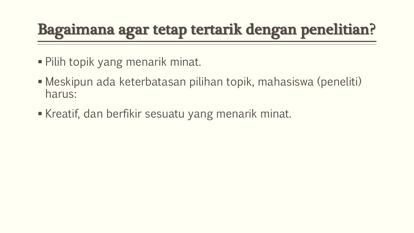## Bagaimana agar tetap tertarik dengan penelitian?

- Pilih topik yang menarik minat.
- Meskipun ada keterbatasan pilihan topik, mahasiswa (peneliti) harus:
- Kreatif, dan berfikir sesuatu yang menarik minat.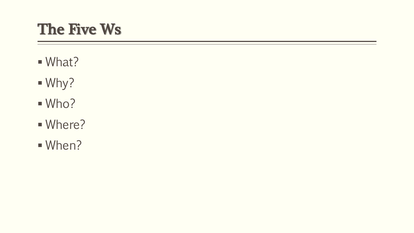### The Five Ws

- What?
- Why?
- Who?
- Where?
- When?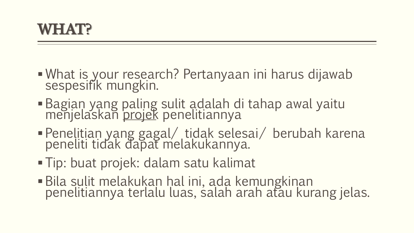- What is your research? Pertanyaan ini harus dijawab sespesifik mungkin.
- Bagian yang paling sulit adalah di tahap awal yaitu menjelaskan projek penelitiannya
- Penelitian yang gagal/ tidak selesai/ berubah karena peneliti tidak dapat melakukannya.
- Tip: buat projek: dalam satu kalimat
- Bila sulit melakukan hal ini, ada kemungkinan penelitiannya terlalu luas, salah arah atau kurang jelas.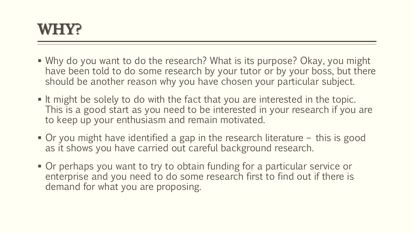

- Why do you want to do the research? What is its purpose? Okay, you might have been told to do some research by your tutor or by your boss, but there should be another reason why you have chosen your particular subject.
- If might be solely to do with the fact that you are interested in the topic. This is a good start as you need to be interested in your research if you are to keep up your enthusiasm and remain motivated.
- Or you might have identified a gap in the research literature this is good as it shows you have carried out careful background research.
- Or perhaps you want to try to obtain funding for a particular service or enterprise and you need to do some research first to find out if there is demand for what you are proposing.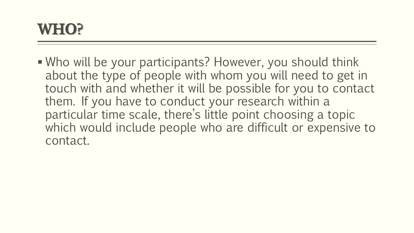

 Who will be your participants? However, you should think about the type of people with whom you will need to get in touch with and whether it will be possible for you to contact them. If you have to conduct your research within a particular time scale, there's little point choosing a topic which would include people who are difficult or expensive to contact.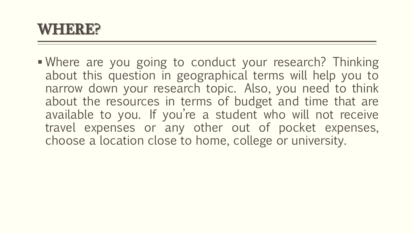#### WHERE?

**Nhere are you going to conduct your research? Thinking** about this question in geographical terms will help you to narrow down your research topic. Also, you need to think about the resources in terms of budget and time that are available to you. If you're a student who will not receive travel expenses or any other out of pocket expenses, choose a location close to home, college or university.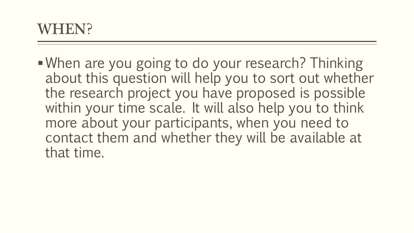When are you going to do your research? Thinking about this question will help you to sort out whether the research project you have proposed is possible within your time scale. It will also help you to think more about your participants, when you need to contact them and whether they will be available at that time.